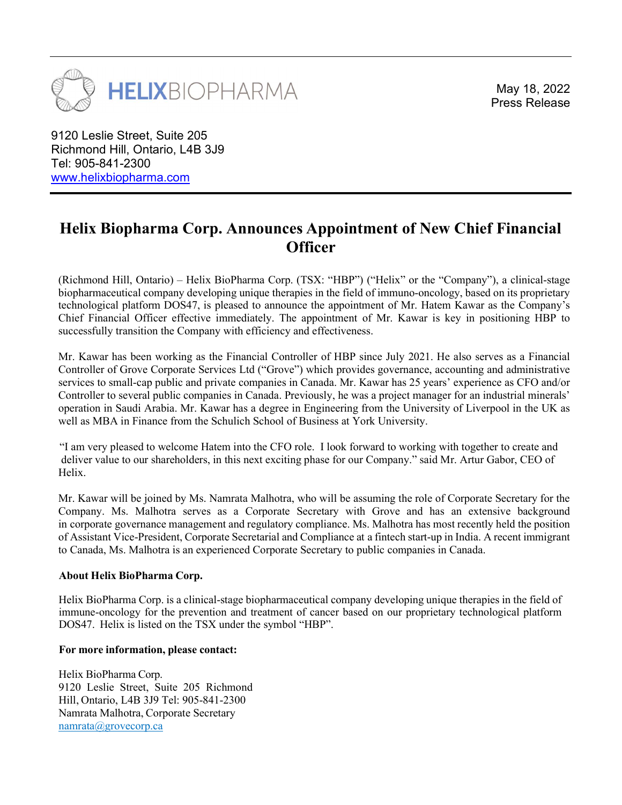

May 18, 2022

9120 Leslie Street, Suite 205 Richmond Hill, Ontario, L4B 3J9 Tel: 905-841-2300 www.helixbiopharma.com

## Helix Biopharma Corp. Announces Appointment of New Chief Financial **Officer**

(Richmond Hill, Ontario) – Helix BioPharma Corp. (TSX: "HBP") ("Helix" or the "Company"), a clinical-stage biopharmaceutical company developing unique therapies in the field of immuno-oncology, based on its proprietary technological platform DOS47, is pleased to announce the appointment of Mr. Hatem Kawar as the Company's Chief Financial Officer effective immediately. The appointment of Mr. Kawar is key in positioning HBP to successfully transition the Company with efficiency and effectiveness.

Mr. Kawar has been working as the Financial Controller of HBP since July 2021. He also serves as a Financial Controller of Grove Corporate Services Ltd ("Grove") which provides governance, accounting and administrative services to small-cap public and private companies in Canada. Mr. Kawar has 25 years' experience as CFO and/or Controller to several public companies in Canada. Previously, he was a project manager for an industrial minerals' operation in Saudi Arabia. Mr. Kawar has a degree in Engineering from the University of Liverpool in the UK as well as MBA in Finance from the Schulich School of Business at York University.

 "I am very pleased to welcome Hatem into the CFO role. I look forward to working with together to create and deliver value to our shareholders, in this next exciting phase for our Company." said Mr. Artur Gabor, CEO of Helix.

Mr. Kawar will be joined by Ms. Namrata Malhotra, who will be assuming the role of Corporate Secretary for the Company. Ms. Malhotra serves as a Corporate Secretary with Grove and has an extensive background in corporate governance management and regulatory compliance. Ms. Malhotra has most recently held the position of Assistant Vice-President, Corporate Secretarial and Compliance at a fintech start-up in India. A recent immigrant to Canada, Ms. Malhotra is an experienced Corporate Secretary to public companies in Canada.

## About Helix BioPharma Corp.

Helix BioPharma Corp. is a clinical-stage biopharmaceutical company developing unique therapies in the field of immune-oncology for the prevention and treatment of cancer based on our proprietary technological platform DOS47. Helix is listed on the TSX under the symbol "HBP".

## For more information, please contact:

Helix BioPharma Corp. 9120 Leslie Street, Suite 205 Richmond Hill, Ontario, L4B 3J9 Tel: 905-841-2300 Namrata Malhotra, Corporate Secretary namrata@grovecorp.ca